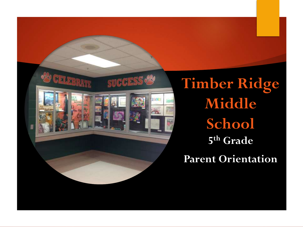

**Timber Ridge Middle School 5 th Grade Parent Orientation**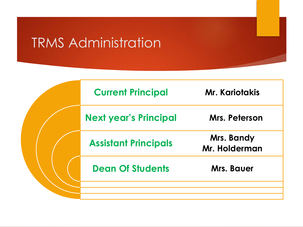# TRMS Administration

|  | <b>Current Principal</b>     | <b>Mr. Kariotakis</b>       |
|--|------------------------------|-----------------------------|
|  | <b>Next year's Principal</b> | Mrs. Peterson               |
|  | <b>Assistant Principals</b>  | Mrs. Bandy<br>Mr. Holderman |
|  | <b>Dean Of Students</b>      | Mrs. Bauer                  |
|  |                              |                             |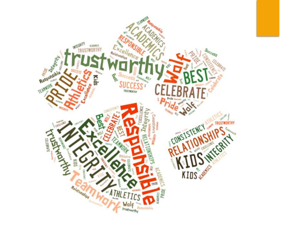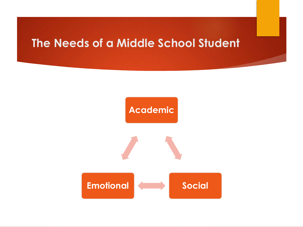## **The Needs of a Middle School Student**



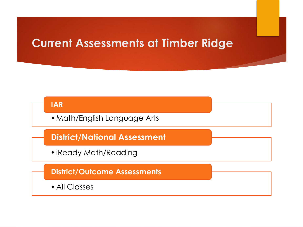## **Current Assessments at Timber Ridge**

## **IAR**

•Math/English Language Arts

**District/National Assessment**

•iReady Math/Reading

### **District/Outcome Assessments**

• All Classes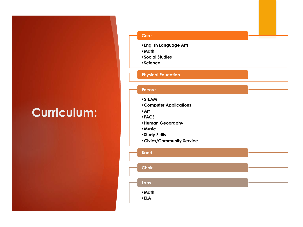# **Curriculum:**

#### **Core**

- •**English Language Arts**
- •**Math**
- •**Social Studies**
- •**Science**

#### **Physical Education**

#### **Encore**

- •**STEAM**
- •**Computer Applications**
- •**Art**
- •**FACS**
- •**Human Geography**
- •**Music**
- •**Study Skills**
- •**Civics/Community Service**

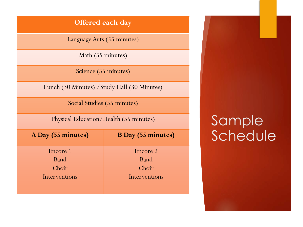### **Offered each day**

Language Arts (55 minutes)

Math (55 minutes)

Science (55 minutes)

Lunch (30 Minutes) /Study Hall (30 Minutes)

Social Studies (55 minutes)

Physical Education/Health (55 minutes)

**A Day (55 minutes) B Day (55 minutes)** Encore 1 Band Choir Interventions Encore 2 Band Choir Interventions

# **Sample** Schedule